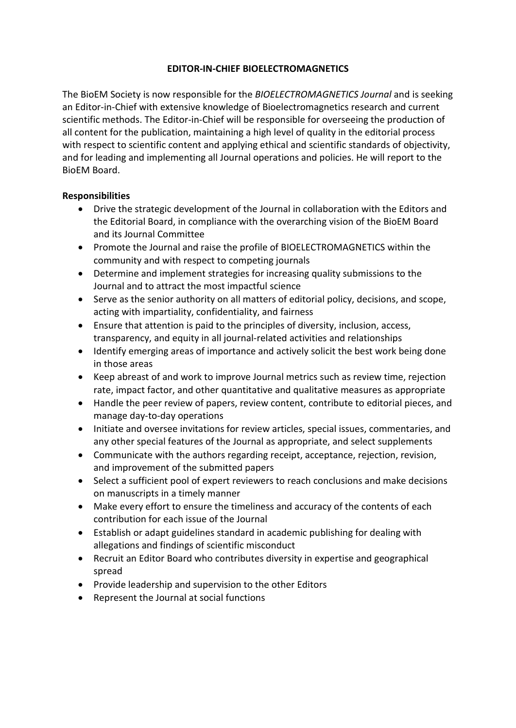# **EDITOR-IN-CHIEF BIOELECTROMAGNETICS**

The BioEM Society is now responsible for the *BIOELECTROMAGNETICS Journal* and is seeking an Editor-in-Chief with extensive knowledge of Bioelectromagnetics research and current scientific methods. The Editor-in-Chief will be responsible for overseeing the production of all content for the publication, maintaining a high level of quality in the editorial process with respect to scientific content and applying ethical and scientific standards of objectivity, and for leading and implementing all Journal operations and policies. He will report to the BioEM Board.

## **Responsibilities**

- Drive the strategic development of the Journal in collaboration with the Editors and the Editorial Board, in compliance with the overarching vision of the BioEM Board and its Journal Committee
- Promote the Journal and raise the profile of BIOELECTROMAGNETICS within the community and with respect to competing journals
- Determine and implement strategies for increasing quality submissions to the Journal and to attract the most impactful science
- Serve as the senior authority on all matters of editorial policy, decisions, and scope, acting with impartiality, confidentiality, and fairness
- Ensure that attention is paid to the principles of diversity, inclusion, access, transparency, and equity in all journal-related activities and relationships
- Identify emerging areas of importance and actively solicit the best work being done in those areas
- Keep abreast of and work to improve Journal metrics such as review time, rejection rate, impact factor, and other quantitative and qualitative measures as appropriate
- Handle the peer review of papers, review content, contribute to editorial pieces, and manage day-to-day operations
- Initiate and oversee invitations for review articles, special issues, commentaries, and any other special features of the Journal as appropriate, and select supplements
- Communicate with the authors regarding receipt, acceptance, rejection, revision, and improvement of the submitted papers
- Select a sufficient pool of expert reviewers to reach conclusions and make decisions on manuscripts in a timely manner
- Make every effort to ensure the timeliness and accuracy of the contents of each contribution for each issue of the Journal
- Establish or adapt guidelines standard in academic publishing for dealing with allegations and findings of scientific misconduct
- Recruit an Editor Board who contributes diversity in expertise and geographical spread
- Provide leadership and supervision to the other Editors
- Represent the Journal at social functions